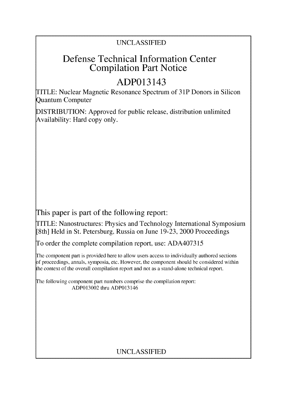# UNCLASSIFIED

# Defense Technical Information Center Compilation Part Notice

# ADP013143

TITLE: Nuclear Magnetic Resonance Spectrum of 3 **1P** Donors in Silicon Quantum Computer

DISTRIBUTION: Approved for public release, distribution unlimited Availability: Hard copy only.

This paper is part of the following report:

TITLE: Nanostructures: Physics and Technology International Symposium [8th] Held in St. Petersburg, Russia on June 19-23, 2000 Proceedings

To order the complete compilation report, use: ADA407315

The component part is provided here to allow users access to individually authored sections f proceedings, annals, symposia, etc. However, the component should be considered within the context of the overall compilation report and not as a stand-alone technical report.

The following component part numbers comprise the compilation report: ADP013002 thru ADP013146

# UNCLASSIFIED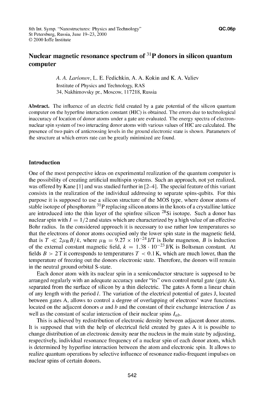## Nuclear magnetic resonance spectrum **of** 31 P donors in silicon quantum computer

**A. A.** *Larionov,* L. E. Fedichkin, A. A. Kokin and K. A. Valiev Institute of Physics and Technology, RAS 34, Nakhimovsky pr., Moscow, 117218, Russia

Abstract. The influence of an electric field created by a gate potential of the silicon quantum computer on the hyperfine interaction constant (HIC) is obtained. The errors due to technological inaccuracy of location of donor atoms under a gate are evaluated. The energy spectra of electronnuclear spin system of two interacting donor atoms with various values of HIC are calculated. The presence of two pairs of anticrossing levels in the ground electronic state is shown. Parameters of the structure at which errors rate can be greatly minimized are found.

## Introduction

One of the most perspective ideas on experimental realization of the quantum computer is the possibility of creating artificial multispin systems. Such an approach, not yet realized, was offered by Kane [1] and was studied further in [2–4]. The special feature of this variant consists in the realization of the individual addressing to separate spins-qubits. For this purpose it is supposed to use a silicon structure of the MOS type, where donor atoms of stable isotope of phosphorum  $31P$  replacing silicon atoms in the knots of a crystalline lattice are introduced into the thin layer of the spinfree silicon  $^{28}$ Si isotope. Such a donor has nuclear spin with  $I = 1/2$  and states which are characterized by a high value of an effective Bohr radius. In the considered approach it is necessary to use rather low temperatures so that the electrons of donor atoms occupied only the lower spin state in the magnetic field, that is  $T \ll 2\mu_B B/k$ , where  $\mu_B = 9.27 \times 10^{-24}$  J/T is Bohr magneton, B is induction of the external constant magnetic field,  $k = 1.38 \cdot 10^{-23}$  J/K is Boltsman constant. At fields  $B > 2T$  it corresponds to temperatures  $T < 0.1$  K, which are much lower, than the temperature of freezing out the donors electronic state. Therefore, the donors will remain in the neutral ground orbital S-state.

Each donor atom with its nuclear spin in a semiconductor structure is supposed to be arranged regularly with an adequate accuracy under "its" own control metal gate (gate A), separated from the surface of silicon by a thin dielectric. The gates A form a linear chain of any length with the period **1.** The variation of the electrical potential of gates J, located between gates A, allows to control a degree of overlapping of electrons' wave functions located on the adjacent donors a and **b** and the constant of their exchange interaction **J** as well as the constant of scalar interaction of their nuclear spins *lab.*

This is achieved by redistribution of electronic density between adjacent donor atoms. It is supposed that with the help of electrical field created by gates A it is possible to change distribution of an electronic density near the nucleus in the main state by adjusting, respectively, individual resonance frequency of a nuclear spin of each donor atom, which is determined by hyperfine interaction between the atom and electronic spin. It allows to realize quantum operations by selective influence of resonance radio-frequent impulses on nuclear spins of certain donors.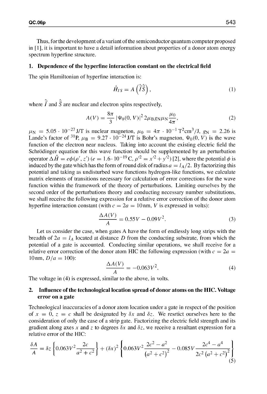Thus, for the development of a variant of the semiconductor quantum computer proposed in **[11,** it is important to have a detail information about properties of a donor atom energy spectrum hyperfine structure.

#### **1.** Dependence of the hyperfine interaction constant on the electrical field

The spin Hamiltonian of hyperfine interaction is:

$$
\hat{H}_{IS} = A\left(\hat{\vec{I}}\hat{\vec{S}}\right),\tag{1}
$$

where  $\hat{\vec{l}}$  and  $\hat{\vec{S}}$  are nuclear and electron spins respectively.

$$
A(V) = \frac{8\pi}{3} |\Psi_0(0, V)|^2 2\mu_{\rm B} g_{\rm N} \mu_{\rm N} \frac{\mu_0}{4\pi},
$$
 (2)

 $\mu_N = 5.05 \cdot 10^{-27}$  J/T is nuclear magneton,  $\mu_0 = 4\pi \cdot 10^{-1} \text{ T}^2 \text{cm}^3/\text{J}$ ,  $g_N = 2.26$  is Lande's factor of <sup>31</sup>P,  $\mu_B = 9.27 \cdot 10^{-24}$  J/T is Bohr's magneton,  $\Psi_0(0, V)$  is the wave function of the electron near nucleus. Taking into account the existing electric field the Schrödinger equation for this wave function should be supplemented by an perturbation operator  $\Delta \hat{H} = e\phi(\rho', z') (e = 1.6 \cdot 10^{-19} \text{ C}, \rho'^2 = x'^2 + y'^2)$  [2], where the potential  $\phi$  is induced by the gate which has the form of round disk of radius  $a = l_A/2$ . By factorizing this potential and taking as undisturbed wave functions hydrogen-like functions, we calculate matrix elements of transitions necessary for calculation of error corrections for the wave function within the framework of the theory of perturbations. Limiting ourselves by the second order of the perturbations theory and conducting necessary number substitutions, we shall receive the following expression for a relative error correction of the donor atom hyperfine interaction constant (with  $c = 2a = 10$  nm, V is expressed in volts):

$$
\frac{\Delta A(V)}{A} = 0.55V - 0.09V^2.
$$
 (3)

Let us consider the case, when gates A have the form of endlessly long strips with the breadth of  $2a = l_A$  located at distance D from the conducting substrate, from which the potential of a gate is accounted. Conducting similar operations, we shall receive for a relative error correction of the donor atom HIC the following expression (with  $c = 2a$ 10 nm,  $D/a = 100$ :

$$
\frac{\Delta A(V)}{A} = -0.063V^2.\tag{4}
$$

The voltage in (4) is expressed, similar to the above, in volts.

### 2. Influence of the technological location spread of donor atoms on the **HIC.** Voltage error on a gate

Technological inaccuracies of a donor atom location under a gate in respect of the position of  $x = 0$ ,  $z = c$  shall be designated by  $\delta x$  and  $\delta z$ . We resrtict ourselves here to the consideration of only the case of a strip gate. Factorizing the electric field strength and its gradient along axes x and z to degrees  $\delta x$  and  $\delta z$ , we receive a resultant expression for a relative error of the HIC:

$$
\frac{\delta A}{A} = \delta z \left\{ 0.063 V^2 \frac{2c}{a^2 + c^2} \right\} + (\delta x)^2 \left\{ 0.063 V^2 \frac{2c^2 - a^2}{(a^2 + c^2)^2} - 0.085 V \frac{2c^4 - a^4}{2c^2 (a^2 + c^2)^2} \right\}
$$
(5)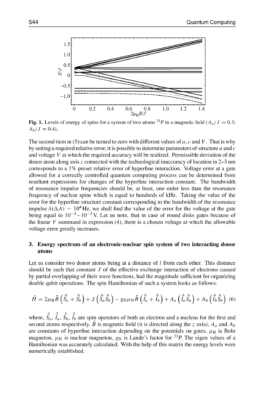

Fig. 1. Levels of energy of spins for a system of two atoms <sup>31</sup>P in a magnetic field  $(A_a/J = 0.35)$  $A_b/J = 0.4$ .

The second item in (5) can be turned to zero with different values of a, *c* and V. That is why by setting a required relative error, it is possible to determine parameters of structure  $a$  and  $c$ and voltage  $V$  at which the required accuracy will be realized. Permissible deviation of the donor atom along axis z connected with the technological inaccuracy of location in 2-3 nm corresponds to a 1% preset relative error of hyperfine interaction. Voltage error at a gate allowed for a correctly controlled quantum computing process can be determined from resultant expressions for changes of the hyperfine interaction constant. The bandwidth of resonance impulse frequencies should be, at least, one order less than the resonance frequency of nuclear spins which is equal to hundreds of kHz. Taking the value of the error for the hyperfine structure constant corresponding to the bandwidth of the resonance impulse  $\delta(\Delta A) \sim 10^4$  Hz, we shall find the value of the error for the voltage at the gate being equal to  $10^{-4} - 10^{-3}$  V. Let us note, that in case of round disks gates because of the linear  $V$  summand in expression  $(4)$ , there is a chosen voltage at which the allowable voltage error greatly increases.

## **3.** Energy spectrum of an electronic-nuclear spin system of two interacting donor atoms

Let us consider two donor atoms being at a distance of *I* from each other. This distance should be such that constant J of the effective exchange interaction of electrons caused by partial overlapping of their wave functions, had the magnitude sufficient for organizing double qubit operations. The spin Hamiltonian of such a system looks as follows:

$$
\hat{H} = 2\mu_\text{B} \vec{B} \left( \hat{\vec{S}}_a + \hat{\vec{S}}_b \right) + J \left( \hat{\vec{S}}_a \hat{\vec{S}}_b \right) - g_N \mu_N \vec{B} \left( \hat{\vec{I}}_a + \hat{\vec{I}}_b \right) + A_a \left( \hat{\vec{I}}_a \hat{\vec{S}}_a \right) + A_b \left( \hat{\vec{I}}_b \hat{\vec{S}}_b \right) (6)
$$

where,  $\hat{S}_a$ ,  $\hat{I}_a$ ,  $\hat{S}_b$ ,  $\hat{I}_b$  are spin operators of both an electron and a nucleus for the first and second atoms respectively,  $\vec{B}$  is magnetic field (it is directed along the z axis),  $A_a$  and  $A_b$ are constants of hyperfine interaction depending on the potentials on gates,  $\mu_B$  is Bohr magneton,  $\mu_N$  is nuclear magneton,  $g_N$  is Lande's factor for <sup>31</sup>P. The eigen values of a Hamiltonian was accurately calculated. With the help of this matrix the energy levels were numerically established.